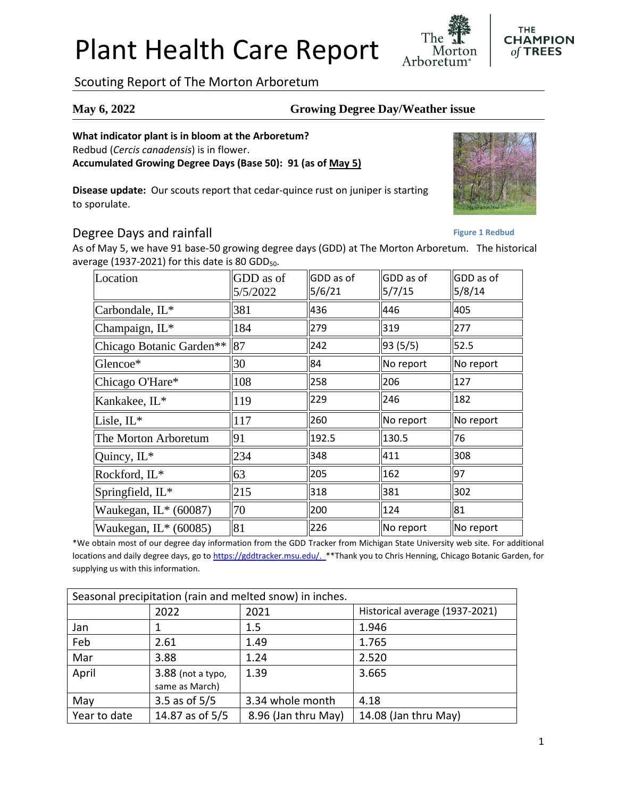# Plant Health Care Report

Scouting Report of The Morton Arboretum

### **May 6, 2022 Growing Degree Day/Weather issue**

Arboretum

#### **What indicator plant is in bloom at the Arboretum?**

Redbud (*Cercis canadensis*) is in flower.

**Accumulated Growing Degree Days (Base 50): 91 (as of May 5)**

**Disease update:** Our scouts report that cedar-quince rust on juniper is starting to sporulate.

### Degree Days and rainfall

As of May 5, we have 91 base-50 growing degree days (GDD) at The Morton Arboretum. The historical average (1937-2021) for this date is 80 GDD $_{50}$ .

| Location                     | GDD as of<br>5/5/2022 | GDD as of<br>5/6/21 | GDD as of<br>5/7/15 | GDD as of<br>5/8/14 |
|------------------------------|-----------------------|---------------------|---------------------|---------------------|
| Carbondale, IL*              | 381                   | 436                 | 446                 | 405                 |
| Champaign, IL*               | 184                   | 279                 | 319                 | 277                 |
| Chicago Botanic Garden**  87 |                       | 242                 | 93(5/5)             | 52.5                |
| Glencoe*                     | 30                    | 84                  | No report           | No report           |
| Chicago O'Hare*              | 108                   | 258                 | 206                 | 127                 |
| Kankakee, IL*                | 119                   | 229                 | 246                 | 182                 |
| Lisle, IL*                   | 117                   | 260                 | No report           | No report           |
| The Morton Arboretum         | 91                    | 192.5               | 130.5               | 76                  |
| Quincy, IL*                  | 234                   | 348                 | 411                 | 308                 |
| Rockford, IL*                | 63                    | 205                 | 162                 | 97                  |
| Springfield, IL*             | 215                   | 318                 | 381                 | 302                 |
| Waukegan, IL* (60087)        | 70                    | 200                 | 124                 | 81                  |
| Waukegan, IL* (60085)        | 81                    | 226                 | No report           | No report           |

\*We obtain most of our degree day information from the GDD Tracker from Michigan State University web site. For additional locations and daily degree days, go to [https://gddtracker.msu.edu/.](https://gddtracker.msu.edu/) \*\*Thank you to Chris Henning, Chicago Botanic Garden, for supplying us with this information.

| Seasonal precipitation (rain and melted snow) in inches. |                   |                     |                                |  |  |
|----------------------------------------------------------|-------------------|---------------------|--------------------------------|--|--|
|                                                          | 2022              | 2021                | Historical average (1937-2021) |  |  |
| Jan                                                      |                   | 1.5                 | 1.946                          |  |  |
| Feb                                                      | 2.61              | 1.49                | 1.765                          |  |  |
| Mar                                                      | 3.88              | 1.24                | 2.520                          |  |  |
| April                                                    | 3.88 (not a typo, | 1.39                | 3.665                          |  |  |
|                                                          | same as March)    |                     |                                |  |  |
| May                                                      | 3.5 as of $5/5$   | 3.34 whole month    | 4.18                           |  |  |
| Year to date                                             | 14.87 as of 5/5   | 8.96 (Jan thru May) | 14.08 (Jan thru May)           |  |  |

**Figure 1 Redbud**



**THE CHAMPION** of TREES